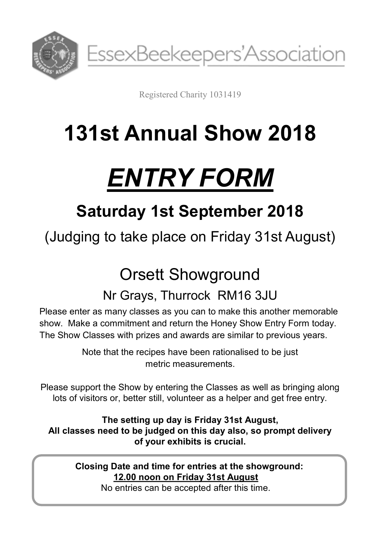

EssexBeekeepers'Association

Registered Charity 1031419

## **131st Annual Show 2018**

# *ENTRY FORM*

## **Saturday 1st September 2018**

(Judging to take place on Friday 31st August)

## Orsett Showground

### Nr Grays, Thurrock RM16 3JU

Please enter as many classes as you can to make this another memorable show. Make a commitment and return the Honey Show Entry Form today. The Show Classes with prizes and awards are similar to previous years.

> Note that the recipes have been rationalised to be just metric measurements.

Please support the Show by entering the Classes as well as bringing along lots of visitors or, better still, volunteer as a helper and get free entry.

**The setting up day is Friday 31st August, All classes need to be judged on this day also, so prompt delivery of your exhibits is crucial.**

**Closing Date and time for entries at the showground: 12.00 noon on Friday 31st August**

No entries can be accepted after this time.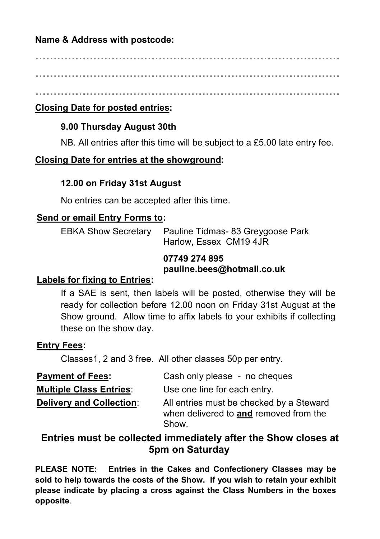#### **Name & Address with postcode:**

**………………………………………………………………………… …………………………………………………………………………**

**…………………………………………………………………………**

#### **Closing Date for posted entries:**

#### **9.00 Thursday August 30th**

NB. All entries after this time will be subject to a £5.00 late entry fee.

#### **Closing Date for entries at the showground:**

#### **12.00 on Friday 31st August**

No entries can be accepted after this time.

#### **Send or email Entry Forms to:**

EBKA Show Secretary Pauline Tidmas- 83 Greygoose Park Harlow, Essex CM19 4JR

#### **07749 274 895 pauline.bees@hotmail.co.uk**

#### **Labels for fixing to Entries:**

If a SAE is sent, then labels will be posted, otherwise they will be ready for collection before 12.00 noon on Friday 31st August at the Show ground. Allow time to affix labels to your exhibits if collecting these on the show day.

#### **Entry Fees:**

Classes1, 2 and 3 free. All other classes 50p per entry.

| <b>Payment of Fees:</b>         | Cash only please - no cheques                                                               |  |
|---------------------------------|---------------------------------------------------------------------------------------------|--|
| <b>Multiple Class Entries:</b>  | Use one line for each entry.                                                                |  |
| <b>Delivery and Collection:</b> | All entries must be checked by a Steward<br>when delivered to and removed from the<br>Show. |  |

#### **Entries must be collected immediately after the Show closes at 5pm on Saturday**

**PLEASE NOTE: Entries in the Cakes and Confectionery Classes may be sold to help towards the costs of the Show. If you wish to retain your exhibit please indicate by placing a cross against the Class Numbers in the boxes opposite**.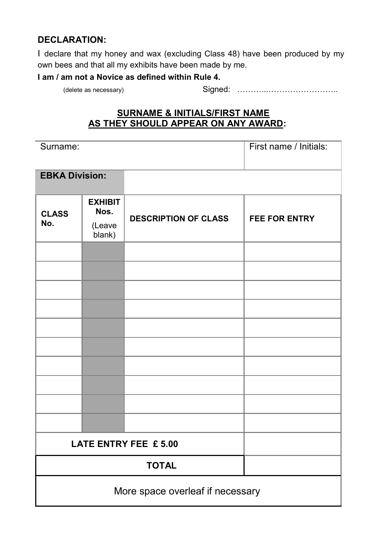#### **DECLARATION:**

I declare that my honey and wax (excluding Class 48) have been produced by my own bees and that all my exhibits have been made by me.

#### **I am / am not a Novice as defined within Rule 4.**

(delete as necessary) Signed: ………...……………………..

#### **SURNAME & INITIALS/FIRST NAME AS THEY SHOULD APPEAR ON ANY AWARD:**

| Surname:                         |                                            |                             | First name / Initials: |  |
|----------------------------------|--------------------------------------------|-----------------------------|------------------------|--|
| <b>EBKA Division:</b>            |                                            |                             |                        |  |
| <b>CLASS</b><br>No.              | <b>EXHIBIT</b><br>Nos.<br>(Leave<br>blank) | <b>DESCRIPTION OF CLASS</b> | <b>FEE FOR ENTRY</b>   |  |
|                                  |                                            |                             |                        |  |
|                                  |                                            |                             |                        |  |
|                                  |                                            |                             |                        |  |
|                                  |                                            |                             |                        |  |
|                                  |                                            |                             |                        |  |
|                                  |                                            |                             |                        |  |
|                                  |                                            |                             |                        |  |
|                                  |                                            |                             |                        |  |
| LATE ENTRY FEE £5.00             |                                            |                             |                        |  |
| <b>TOTAL</b>                     |                                            |                             |                        |  |
| More space overleaf if necessary |                                            |                             |                        |  |